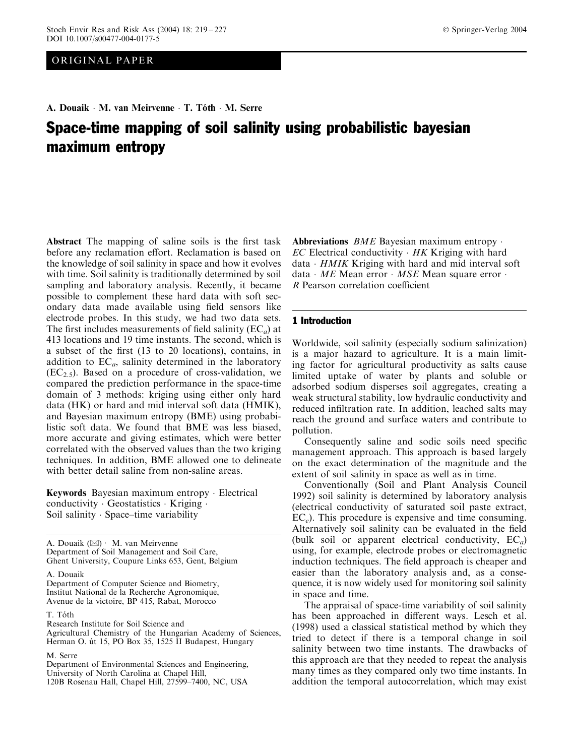### ORIGINAL PAPER

A. Douaik · M. van Meirvenne · T. Tóth · M. Serre

# Space-time mapping of soil salinity using probabilistic bayesian maximum entropy

Abstract The mapping of saline soils is the first task before any reclamation effort. Reclamation is based on the knowledge of soil salinity in space and how it evolves with time. Soil salinity is traditionally determined by soil sampling and laboratory analysis. Recently, it became possible to complement these hard data with soft secondary data made available using field sensors like electrode probes. In this study, we had two data sets. The first includes measurements of field salinity  $(EC_a)$  at 413 locations and 19 time instants. The second, which is a subset of the first (13 to 20 locations), contains, in addition to  $EC_a$ , salinity determined in the laboratory  $(EC_{2.5})$ . Based on a procedure of cross-validation, we compared the prediction performance in the space-time domain of 3 methods: kriging using either only hard data (HK) or hard and mid interval soft data (HMIK), and Bayesian maximum entropy (BME) using probabilistic soft data. We found that BME was less biased, more accurate and giving estimates, which were better correlated with the observed values than the two kriging techniques. In addition, BME allowed one to delineate with better detail saline from non-saline areas.

Keywords Bayesian maximum entropy Electrical conductivity  $G$ eostatistics  $\cdot$  Kriging  $\cdot$ Soil salinity  $\cdot$  Space–time variability

A. Douaik (⊠) · M. van Meirvenne Department of Soil Management and Soil Care, Ghent University, Coupure Links 653, Gent, Belgium

A. Douaik

Department of Computer Science and Biometry, Institut National de la Recherche Agronomique, Avenue de la victoire, BP 415, Rabat, Morocco

T. Tóth

Research Institute for Soil Science and

Agricultural Chemistry of the Hungarian Academy of Sciences, Herman O. út 15, PO Box 35, 1525 II Budapest, Hungary

#### M. Serre

Department of Environmental Sciences and Engineering, University of North Carolina at Chapel Hill, 120B Rosenau Hall, Chapel Hill, 27599–7400, NC, USA Abbreviations  $BME$  Bayesian maximum entropy  $\cdot$  $EC$  Electrical conductivity  $HK$  Kriging with hard  $data \cdot HMIK$  Kriging with hard and mid interval soft data  $\cdot$  ME Mean error  $\cdot$  MSE Mean square error  $\cdot$ R Pearson correlation coefficient

#### 1 Introduction

Worldwide, soil salinity (especially sodium salinization) is a major hazard to agriculture. It is a main limiting factor for agricultural productivity as salts cause limited uptake of water by plants and soluble or adsorbed sodium disperses soil aggregates, creating a weak structural stability, low hydraulic conductivity and reduced infiltration rate. In addition, leached salts may reach the ground and surface waters and contribute to pollution.

Consequently saline and sodic soils need specific management approach. This approach is based largely on the exact determination of the magnitude and the extent of soil salinity in space as well as in time.

Conventionally (Soil and Plant Analysis Council 1992) soil salinity is determined by laboratory analysis (electrical conductivity of saturated soil paste extract,  $EC_e$ ). This procedure is expensive and time consuming. Alternatively soil salinity can be evaluated in the field (bulk soil or apparent electrical conductivity,  $EC_a$ ) using, for example, electrode probes or electromagnetic induction techniques. The field approach is cheaper and easier than the laboratory analysis and, as a consequence, it is now widely used for monitoring soil salinity in space and time.

The appraisal of space-time variability of soil salinity has been approached in different ways. Lesch et al. (1998) used a classical statistical method by which they tried to detect if there is a temporal change in soil salinity between two time instants. The drawbacks of this approach are that they needed to repeat the analysis many times as they compared only two time instants. In addition the temporal autocorrelation, which may exist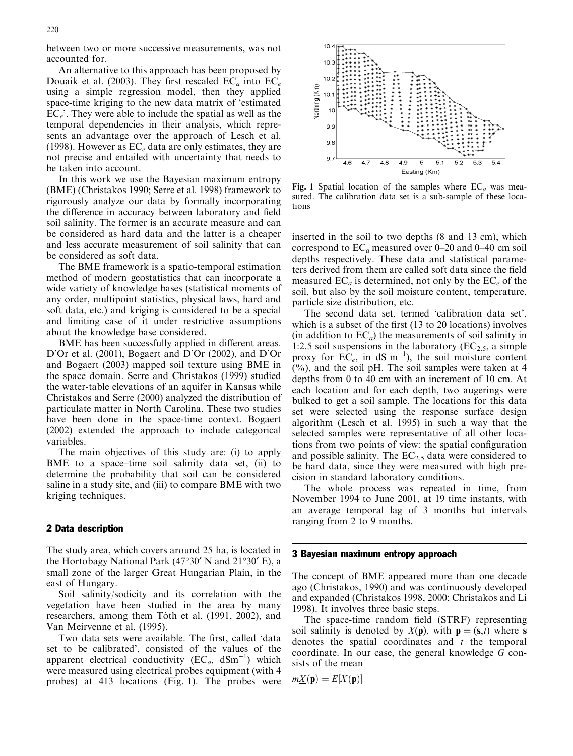between two or more successive measurements, was not accounted for.

An alternative to this approach has been proposed by Douaik et al. (2003). They first rescaled  $EC_a$  into  $EC_e$ using a simple regression model, then they applied space-time kriging to the new data matrix of 'estimated  $EC_e$ . They were able to include the spatial as well as the temporal dependencies in their analysis, which represents an advantage over the approach of Lesch et al. (1998). However as  $EC_e$  data are only estimates, they are not precise and entailed with uncertainty that needs to be taken into account.

In this work we use the Bayesian maximum entropy (BME) (Christakos 1990; Serre et al. 1998) framework to rigorously analyze our data by formally incorporating the difference in accuracy between laboratory and field soil salinity. The former is an accurate measure and can be considered as hard data and the latter is a cheaper and less accurate measurement of soil salinity that can be considered as soft data.

The BME framework is a spatio-temporal estimation method of modern geostatistics that can incorporate a wide variety of knowledge bases (statistical moments of any order, multipoint statistics, physical laws, hard and soft data, etc.) and kriging is considered to be a special and limiting case of it under restrictive assumptions about the knowledge base considered.

BME has been successfully applied in different areas. D'Or et al. (2001), Bogaert and D'Or (2002), and D'Or and Bogaert (2003) mapped soil texture using BME in the space domain. Serre and Christakos (1999) studied the water-table elevations of an aquifer in Kansas while Christakos and Serre (2000) analyzed the distribution of particulate matter in North Carolina. These two studies have been done in the space-time context. Bogaert (2002) extended the approach to include categorical variables.

The main objectives of this study are: (i) to apply BME to a space–time soil salinity data set, (ii) to determine the probability that soil can be considered saline in a study site, and (iii) to compare BME with two kriging techniques.

#### 2 Data description

The study area, which covers around 25 ha, is located in the Hortobagy National Park  $(47°30'$  N and  $21°30'$  E), a small zone of the larger Great Hungarian Plain, in the east of Hungary.

Soil salinity/sodicity and its correlation with the vegetation have been studied in the area by many researchers, among them Tóth et al. (1991, 2002), and Van Meirvenne et al. (1995).

Two data sets were available. The first, called 'data set to be calibrated', consisted of the values of the apparent electrical conductivity ( $EC_a$ ,  $dSm^{-1}$ ) which were measured using electrical probes equipment (with 4 probes) at 413 locations (Fig. 1). The probes were



Fig. 1 Spatial location of the samples where  $EC_a$  was measured. The calibration data set is a sub-sample of these locations

inserted in the soil to two depths (8 and 13 cm), which correspond to  $EC_a$  measured over 0–20 and 0–40 cm soil depths respectively. These data and statistical parameters derived from them are called soft data since the field measured  $EC_a$  is determined, not only by the  $EC_e$  of the soil, but also by the soil moisture content, temperature, particle size distribution, etc.

The second data set, termed 'calibration data set', which is a subset of the first (13 to 20 locations) involves (in addition to  $EC_a$ ) the measurements of soil salinity in 1:2.5 soil suspensions in the laboratory ( $EC_{2.5}$ , a simple proxy for  $\mathbf{EC}_e$ , in  $d\mathbf{S}$  m<sup>-1</sup>), the soil moisture content  $(\%)$ , and the soil pH. The soil samples were taken at 4 depths from 0 to 40 cm with an increment of 10 cm. At each location and for each depth, two augerings were bulked to get a soil sample. The locations for this data set were selected using the response surface design algorithm (Lesch et al. 1995) in such a way that the selected samples were representative of all other locations from two points of view: the spatial configuration and possible salinity. The  $EC_{2.5}$  data were considered to be hard data, since they were measured with high precision in standard laboratory conditions.

The whole process was repeated in time, from November 1994 to June 2001, at 19 time instants, with an average temporal lag of 3 months but intervals ranging from 2 to 9 months.

#### 3 Bayesian maximum entropy approach

The concept of BME appeared more than one decade ago (Christakos, 1990) and was continuously developed and expanded (Christakos 1998, 2000; Christakos and Li 1998). It involves three basic steps.

The space-time random field (STRF) representing soil salinity is denoted by  $X(p)$ , with  $p = (s,t)$  where s denotes the spatial coordinates and  $t$  the temporal coordinate. In our case, the general knowledge  $G$  consists of the mean

$$
m\underline{X}(\mathbf{p}) = E[X(\mathbf{p})]
$$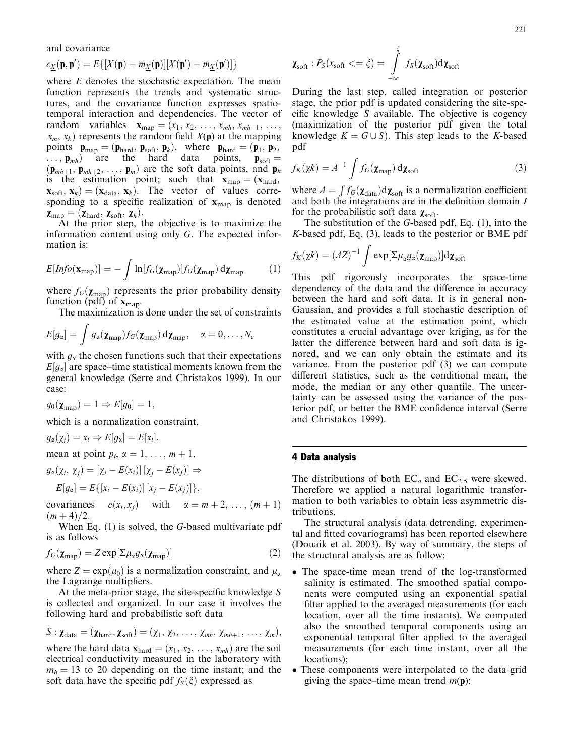and covariance

$$
c_{\underline{X}}(\mathbf{p}, \mathbf{p}') = E\{[X(\mathbf{p}) - m_{\underline{X}}(\mathbf{p})][X(\mathbf{p}') - m_{\underline{X}}(\mathbf{p}')]\}
$$

where  $E$  denotes the stochastic expectation. The mean function represents the trends and systematic structures, and the covariance function expresses spatiotemporal interaction and dependencies. The vector of random variables  $\mathbf{x}_{map} = (x_1, x_2, \ldots, x_{mh}, x_{mh+1}, \ldots,$  $x_m$ ,  $x_k$ ) represents the random field  $X(p)$  at the mapping points  $\mathbf{p}_{map} = (\mathbf{p}_{hard}, \mathbf{p}_{soft}, \mathbf{p}_k)$ , where  $\mathbf{p}_{hard} = (\mathbf{p}_1, \mathbf{p}_2,$  $\ldots, \mathbf{p}_{mh}$  are the hard data points,  $\mathbf{p}_{soft} =$  $(\mathbf{p}_{mh+1}, \mathbf{p}_{mh+2}, \ldots, \mathbf{p}_m)$  are the soft data points, and  $\mathbf{p}_k$ is the estimation point; such that  $\mathbf{x}_{map} = (\mathbf{x}_{hard},$  $\mathbf{x}_{\text{soft}}, \mathbf{x}_k$  =  $(\mathbf{x}_{\text{data}}, \mathbf{x}_k)$ . The vector of values corresponding to a specific realization of  $x_{map}$  is denoted  $\chi_{\text{map}} = (\chi_{\text{hard}}, \chi_{\text{soft}}, \chi_k).$ 

At the prior step, the objective is to maximize the information content using only G. The expected information is:

$$
E[Info(\mathbf{x}_{map})] = -\int \ln[f_G(\mathbf{\chi}_{map})] f_G(\mathbf{\chi}_{map}) d\mathbf{\chi}_{map}
$$
 (1)

where  $f_G(\chi_{\text{map}})$  represents the prior probability density function (pdf) of  $x_{map}$ .

The maximization is done under the set of constraints

$$
E[g_{\alpha}] = \int g_{\alpha}(\boldsymbol{\chi}_{\rm map}) f_G(\boldsymbol{\chi}_{\rm map}) d\boldsymbol{\chi}_{\rm map}, \quad \alpha = 0, \ldots, N_c
$$

with  $g_{\alpha}$  the chosen functions such that their expectations  $E[g_\alpha]$  are space–time statistical moments known from the general knowledge (Serre and Christakos 1999). In our case:

$$
g_0(\mathbf{\chi}_{\text{map}}) = 1 \Rightarrow E[g_0] = 1,
$$

which is a normalization constraint,

$$
g_{\alpha}(\chi_i)=x_i\Rightarrow E[g_{\alpha}]=E[x_i],
$$

mean at point  $p_i$ ,  $\alpha = 1, \ldots, m + 1$ ,

$$
g_{\alpha}(\chi_i, \chi_j) = [\chi_i - E(\chi_i)] [\chi_j - E(\chi_j)] \Rightarrow
$$
  

$$
E[g_{\alpha}] = E\{[\chi_i - E(\chi_i)] [\chi_j - E(\chi_j)]\},
$$

covariances  $c(x_i, x_j)$  with  $\alpha = m + 2, \ldots, (m + 1)$  $(m+4)/2$ .

When Eq. (1) is solved, the G-based multivariate pdf is as follows

$$
f_G(\mathbf{\chi}_{\text{map}}) = Z \exp[\Sigma \mu_\alpha g_\alpha(\mathbf{\chi}_{\text{map}})] \tag{2}
$$

where  $Z = \exp(\mu_0)$  is a normalization constraint, and  $\mu_\alpha$ the Lagrange multipliers.

At the meta-prior stage, the site-specific knowledge S is collected and organized. In our case it involves the following hard and probabilistic soft data

$$
S: \chi_{\text{data}} = (\chi_{\text{hard}}, \chi_{\text{soft}}) = (\chi_1, \chi_2, \ldots, \chi_{mh}, \chi_{mh+1}, \ldots, \chi_m),
$$

where the hard data  $\mathbf{x}_{\text{hard}} = (x_1, x_2, \dots, x_{\text{mh}})$  are the soil electrical conductivity measured in the laboratory with  $m_h = 13$  to 20 depending on the time instant; and the soft data have the specific pdf  $f_S(\xi)$  expressed as

$$
\chi_{\text{soft}}: P_{S}(x_{\text{soft}} \leq \xi) = \int\limits_{-\infty}^{\xi} f_{S}(\chi_{\text{soft}}) d\chi_{\text{soft}}
$$

During the last step, called integration or posterior stage, the prior pdf is updated considering the site-specific knowledge S available. The objective is cogency (maximization of the posterior pdf given the total knowledge  $K = G \cup S$ . This step leads to the K-based pdf

$$
f_K(\chi k) = A^{-1} \int f_G(\mathbf{\chi}_{\text{map}}) \, \mathrm{d}\mathbf{\chi}_{\text{soft}} \tag{3}
$$

where  $A = \int f_G(\chi_{data}) d\chi_{soft}$  is a normalization coefficient and both the integrations are in the definition domain I for the probabilistic soft data  $\chi_{\text{soft}}$ .

The substitution of the G-based pdf, Eq. (1), into the K-based pdf, Eq. (3), leads to the posterior or BME pdf

$$
f_K(\chi k) = (AZ)^{-1} \int \exp[\Sigma \mu_\alpha g_\alpha(\boldsymbol{\chi}_{\rm map})] d\boldsymbol{\chi}_{\rm soft}
$$

This pdf rigorously incorporates the space-time dependency of the data and the difference in accuracy between the hard and soft data. It is in general non-Gaussian, and provides a full stochastic description of the estimated value at the estimation point, which constitutes a crucial advantage over kriging, as for the latter the difference between hard and soft data is ignored, and we can only obtain the estimate and its variance. From the posterior pdf (3) we can compute different statistics, such as the conditional mean, the mode, the median or any other quantile. The uncertainty can be assessed using the variance of the posterior pdf, or better the BME confidence interval (Serre and Christakos 1999).

#### 4 Data analysis

The distributions of both  $EC_a$  and  $EC_{2.5}$  were skewed. Therefore we applied a natural logarithmic transformation to both variables to obtain less asymmetric distributions.

The structural analysis (data detrending, experimental and fitted covariograms) has been reported elsewhere (Douaik et al. 2003). By way of summary, the steps of the structural analysis are as follow:

- The space-time mean trend of the log-transformed salinity is estimated. The smoothed spatial components were computed using an exponential spatial filter applied to the averaged measurements (for each location, over all the time instants). We computed also the smoothed temporal components using an exponential temporal filter applied to the averaged measurements (for each time instant, over all the locations);
- These components were interpolated to the data grid giving the space–time mean trend  $m(\mathbf{p})$ ;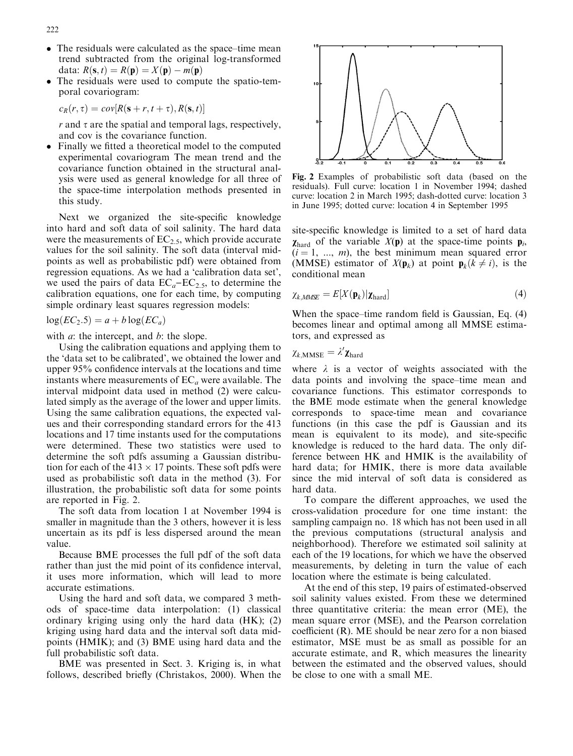- The residuals were calculated as the space–time mean trend subtracted from the original log-transformed data:  $R(\mathbf{s}, t) = R(\mathbf{p}) = X(\mathbf{p}) - m(\mathbf{p})$
- The residuals were used to compute the spatio-temporal covariogram:

 $c_R(r, \tau) = cov[R(\mathbf{s} + r, t + \tau), R(\mathbf{s}, t)]$ 

r and  $\tau$  are the spatial and temporal lags, respectively, and cov is the covariance function.

 Finally we fitted a theoretical model to the computed experimental covariogram The mean trend and the covariance function obtained in the structural analysis were used as general knowledge for all three of the space-time interpolation methods presented in this study.

Next we organized the site-specific knowledge into hard and soft data of soil salinity. The hard data were the measurements of  $EC_{2.5}$ , which provide accurate values for the soil salinity. The soft data (interval midpoints as well as probabilistic pdf) were obtained from regression equations. As we had a 'calibration data set', we used the pairs of data  $EC_a-EC_{2.5}$ , to determine the calibration equations, one for each time, by computing simple ordinary least squares regression models:

 $log(EC_2.5) = a + b log(EC_a)$ 

with  $a$ : the intercept, and  $b$ : the slope.

Using the calibration equations and applying them to the 'data set to be calibrated', we obtained the lower and upper 95% confidence intervals at the locations and time instants where measurements of  $EC_a$  were available. The interval midpoint data used in method (2) were calculated simply as the average of the lower and upper limits. Using the same calibration equations, the expected values and their corresponding standard errors for the 413 locations and 17 time instants used for the computations were determined. These two statistics were used to determine the soft pdfs assuming a Gaussian distribution for each of the 413  $\times$  17 points. These soft pdfs were used as probabilistic soft data in the method (3). For illustration, the probabilistic soft data for some points are reported in Fig. 2.

The soft data from location 1 at November 1994 is smaller in magnitude than the 3 others, however it is less uncertain as its pdf is less dispersed around the mean value.

Because BME processes the full pdf of the soft data rather than just the mid point of its confidence interval, it uses more information, which will lead to more accurate estimations.

Using the hard and soft data, we compared 3 methods of space-time data interpolation: (1) classical ordinary kriging using only the hard data (HK); (2) kriging using hard data and the interval soft data midpoints (HMIK); and (3) BME using hard data and the full probabilistic soft data.

BME was presented in Sect. 3. Kriging is, in what follows, described briefly (Christakos, 2000). When the



Fig. 2 Examples of probabilistic soft data (based on the residuals). Full curve: location 1 in November 1994; dashed curve: location 2 in March 1995; dash-dotted curve: location 3 in June 1995; dotted curve: location 4 in September 1995

site-specific knowledge is limited to a set of hard data  $\chi_{\text{hard}}$  of the variable  $X(\mathbf{p})$  at the space-time points  $\mathbf{p}_i$ ,  $(i = 1, ..., m)$ , the best minimum mean squared error (MMSE) estimator of  $X(\mathbf{p}_k)$  at point  $\mathbf{p}_k (k \neq i)$ , is the conditional mean

$$
\chi_{k,MMSE} = E[X(\mathbf{p}_k)|\mathbf{\chi}_{\text{hard}}] \tag{4}
$$

When the space–time random field is Gaussian, Eq. (4) becomes linear and optimal among all MMSE estimators, and expressed as

## $\chi_{k,\mathrm{MMSE}} = \lambda' \chi_{\mathrm{hard}}$

where  $\lambda$  is a vector of weights associated with the data points and involving the space–time mean and covariance functions. This estimator corresponds to the BME mode estimate when the general knowledge corresponds to space-time mean and covariance functions (in this case the pdf is Gaussian and its mean is equivalent to its mode), and site-specific knowledge is reduced to the hard data. The only difference between HK and HMIK is the availability of hard data; for HMIK, there is more data available since the mid interval of soft data is considered as hard data.

To compare the different approaches, we used the cross-validation procedure for one time instant: the sampling campaign no. 18 which has not been used in all the previous computations (structural analysis and neighborhood). Therefore we estimated soil salinity at each of the 19 locations, for which we have the observed measurements, by deleting in turn the value of each location where the estimate is being calculated.

At the end of this step, 19 pairs of estimated-observed soil salinity values existed. From these we determined three quantitative criteria: the mean error (ME), the mean square error (MSE), and the Pearson correlation coefficient (R). ME should be near zero for a non biased estimator, MSE must be as small as possible for an accurate estimate, and R, which measures the linearity between the estimated and the observed values, should be close to one with a small ME.

$$
222\\
$$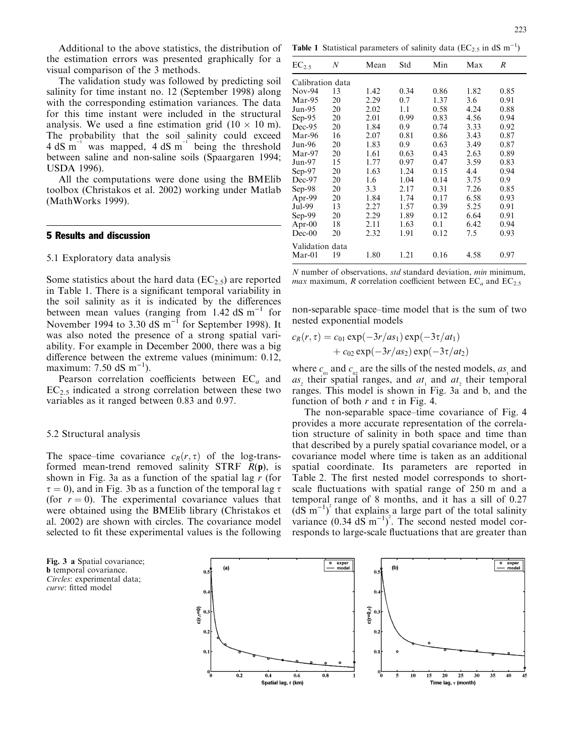Additional to the above statistics, the distribution of the estimation errors was presented graphically for a visual comparison of the 3 methods.

The validation study was followed by predicting soil salinity for time instant no. 12 (September 1998) along with the corresponding estimation variances. The data for this time instant were included in the structural analysis. We used a fine estimation grid  $(10 \times 10 \text{ m})$ . The probability that the soil salinity could exceed 4 dS  $m^{-1}$  was mapped, 4 dS  $m^{-1}$  being the threshold between saline and non-saline soils (Spaargaren 1994; USDA 1996).

All the computations were done using the BMElib toolbox (Christakos et al. 2002) working under Matlab (MathWorks 1999).

#### 5 Results and discussion

#### 5.1 Exploratory data analysis

Some statistics about the hard data  $(EC_{2.5})$  are reported in Table 1. There is a significant temporal variability in the soil salinity as it is indicated by the differences between mean values (ranging from  $1.42$  dS m<sup>-1</sup> for November 1994 to 3.30 dS  $m^{-1}$  for September 1998). It was also noted the presence of a strong spatial variability. For example in December 2000, there was a big difference between the extreme values (minimum: 0.12, maximum: 7.50 dS  $m^{-1}$ ).

Pearson correlation coefficients between  $EC_a$  and  $EC_{2.5}$  indicated a strong correlation between these two variables as it ranged between 0.83 and 0.97.

#### 5.2 Structural analysis

The space–time covariance  $c_R(r, \tau)$  of the log-transformed mean-trend removed salinity STRF  $R(p)$ , is shown in Fig. 3a as a function of the spatial lag  $r$  (for  $\tau = 0$ , and in Fig. 3b as a function of the temporal lag  $\tau$ (for  $r = 0$ ). The experimental covariance values that were obtained using the BMElib library (Christakos et al. 2002) are shown with circles. The covariance model selected to fit these experimental values is the following

Fig. 3 a Spatial covariance; b temporal covariance. Circles: experimental data; curve: fitted model

**Table 1** Statistical parameters of salinity data ( $EC_{2.5}$  in dS  $m^{-1}$ )

| $EC_{2.5}$       | N  | Mean | Std  | Min  | Max  | $\boldsymbol{R}$ |
|------------------|----|------|------|------|------|------------------|
| Calibration data |    |      |      |      |      |                  |
| Nov-94           | 13 | 1.42 | 0.34 | 0.86 | 1.82 | 0.85             |
| Mar-95           | 20 | 2.29 | 0.7  | 1.37 | 3.6  | 0.91             |
| $Jun-95$         | 20 | 2.02 | 1.1  | 0.58 | 4.24 | 0.88             |
| Sep-95           | 20 | 2.01 | 0.99 | 0.83 | 4.56 | 0.94             |
| Dec-95           | 20 | 1.84 | 0.9  | 0.74 | 3.33 | 0.92             |
| Mar-96           | 16 | 2.07 | 0.81 | 0.86 | 3.43 | 0.87             |
| Jun-96           | 20 | 1.83 | 0.9  | 0.63 | 3.49 | 0.87             |
| Mar-97           | 20 | 1.61 | 0.63 | 0.43 | 2.63 | 0.89             |
| $Jun-97$         | 15 | 1.77 | 0.97 | 0.47 | 3.59 | 0.83             |
| Sep-97           | 20 | 1.63 | 1.24 | 0.15 | 4.4  | 0.94             |
| Dec-97           | 20 | 1.6  | 1.04 | 0.14 | 3.75 | 0.9              |
| Sep-98           | 20 | 3.3  | 2.17 | 0.31 | 7.26 | 0.85             |
| Apr-99           | 20 | 1.84 | 1.74 | 0.17 | 6.58 | 0.93             |
| Jul-99           | 13 | 2.27 | 1.57 | 0.39 | 5.25 | 0.91             |
| Sep-99           | 20 | 2.29 | 1.89 | 0.12 | 6.64 | 0.91             |
| Apr- $00$        | 18 | 2.11 | 1.63 | 0.1  | 6.42 | 0.94             |
| $Dec-00$         | 20 | 2.32 | 1.91 | 0.12 | 7.5  | 0.93             |
| Validation data  |    |      |      |      |      |                  |
| $Mar-01$         | 19 | 1.80 | 1.21 | 0.16 | 4.58 | 0.97             |

|  |  | N number of observations, <i>std</i> standard deviation, <i>min</i> minimum, |
|--|--|------------------------------------------------------------------------------|
|  |  | <i>max</i> maximum, R correlation coefficient between $EC_a$ and $EC_2$ ,    |

non-separable space–time model that is the sum of two nested exponential models

$$
c_R(r, \tau) = c_{01} \exp(-3r/as_1) \exp(-3\tau/at_1) + c_{02} \exp(-3r/as_2) \exp(-3\tau/at_2)
$$

where  $c_{0}$  and  $c_{0}$  are the sills of the nested models,  $as_{1}$  and  $as<sub>z</sub>$ , their spatial ranges, and  $at<sub>z</sub>$  and  $at<sub>z</sub>$ , their temporal ranges. This model is shown in Fig. 3a and b, and the function of both r and  $\tau$  in Fig. 4.

The non-separable space–time covariance of Fig. 4 provides a more accurate representation of the correlation structure of salinity in both space and time than that described by a purely spatial covariance model, or a covariance model where time is taken as an additional spatial coordinate. Its parameters are reported in Table 2. The first nested model corresponds to shortscale fluctuations with spatial range of 250 m and a temporal range of 8 months, and it has a sill of 0.27  $(dS \text{ m}^{-1})^2$  that explains a large part of the total salinity variance  $(0.34 \text{ dS m}^{-1})^2$ . The second nested model corresponds to large-scale fluctuations that are greater than

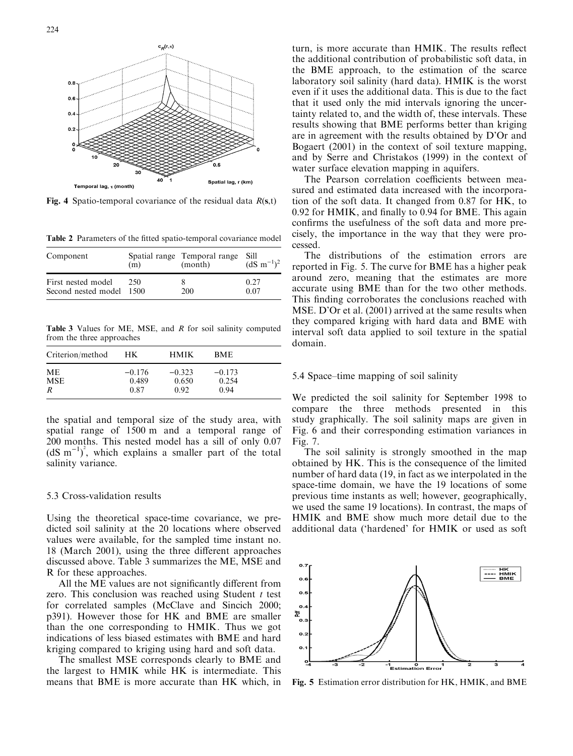

Fig. 4 Spatio-temporal covariance of the residual data  $R(s,t)$ 

Table 2 Parameters of the fitted spatio-temporal covariance model

| Component                                      | (m) | Spatial range Temporal range<br>(month) | Sill<br>$(dS m^{-1})^2$ |
|------------------------------------------------|-----|-----------------------------------------|-------------------------|
| First nested model<br>Second nested model 1500 | 250 | 200                                     | 0.27<br>0.07            |

Table 3 Values for ME, MSE, and R for soil salinity computed from the three approaches

| Criterion/method | HК       | <b>HMIK</b> | <b>BME</b> |  |
|------------------|----------|-------------|------------|--|
| MЕ               | $-0.176$ | $-0.323$    | $-0.173$   |  |
| <b>MSE</b>       | 0.489    | 0.650       | 0.254      |  |
| R                | 0.87     | 0.92        | 0.94       |  |

the spatial and temporal size of the study area, with spatial range of 1500 m and a temporal range of 200 months. This nested model has a sill of only 0.07  $(dS m^{-1})^2$ , which explains a smaller part of the total salinity variance.

#### 5.3 Cross-validation results

Using the theoretical space-time covariance, we predicted soil salinity at the 20 locations where observed values were available, for the sampled time instant no. 18 (March 2001), using the three different approaches discussed above. Table 3 summarizes the ME, MSE and R for these approaches.

All the ME values are not significantly different from zero. This conclusion was reached using Student  $t$  test for correlated samples (McClave and Sincich 2000; p391). However those for HK and BME are smaller than the one corresponding to HMIK. Thus we got indications of less biased estimates with BME and hard kriging compared to kriging using hard and soft data.

The smallest MSE corresponds clearly to BME and the largest to HMIK while HK is intermediate. This means that BME is more accurate than HK which, in

turn, is more accurate than HMIK. The results reflect the additional contribution of probabilistic soft data, in the BME approach, to the estimation of the scarce laboratory soil salinity (hard data). HMIK is the worst even if it uses the additional data. This is due to the fact that it used only the mid intervals ignoring the uncertainty related to, and the width of, these intervals. These results showing that BME performs better than kriging are in agreement with the results obtained by D'Or and Bogaert (2001) in the context of soil texture mapping, and by Serre and Christakos (1999) in the context of water surface elevation mapping in aquifers.

The Pearson correlation coefficients between measured and estimated data increased with the incorporation of the soft data. It changed from 0.87 for HK, to 0.92 for HMIK, and finally to 0.94 for BME. This again confirms the usefulness of the soft data and more precisely, the importance in the way that they were processed.

The distributions of the estimation errors are reported in Fig. 5. The curve for BME has a higher peak around zero, meaning that the estimates are more accurate using BME than for the two other methods. This finding corroborates the conclusions reached with MSE. D'Or et al. (2001) arrived at the same results when they compared kriging with hard data and BME with interval soft data applied to soil texture in the spatial domain.

#### 5.4 Space–time mapping of soil salinity

We predicted the soil salinity for September 1998 to compare the three methods presented in this study graphically. The soil salinity maps are given in Fig. 6 and their corresponding estimation variances in Fig. 7.

The soil salinity is strongly smoothed in the map obtained by HK. This is the consequence of the limited number of hard data (19, in fact as we interpolated in the space-time domain, we have the 19 locations of some previous time instants as well; however, geographically, we used the same 19 locations). In contrast, the maps of HMIK and BME show much more detail due to the additional data ('hardened' for HMIK or used as soft



Fig. 5 Estimation error distribution for HK, HMIK, and BME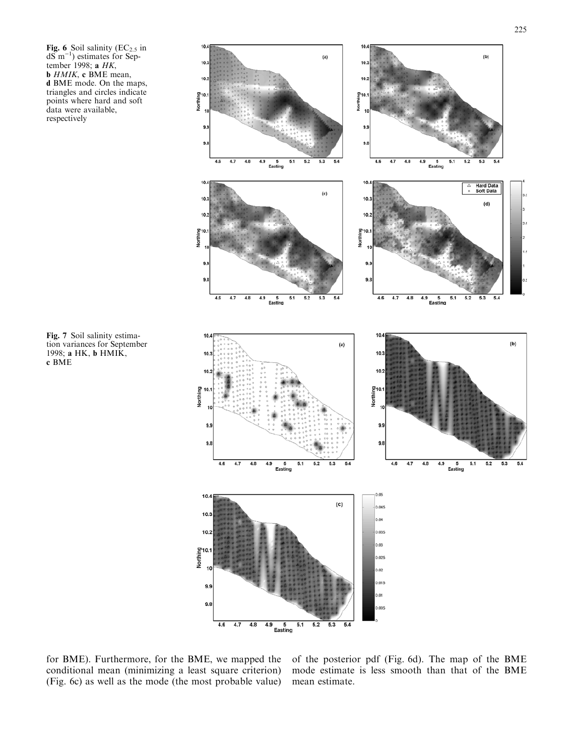**Fig. 6** Soil salinity ( $EC_{2.5}$  in dS m<sup>-1</sup>) estimates for September 1998; a  $HK$ , b HMIK, c BME mean, d BME mode. On the maps, triangles and circles indicate points where hard and soft data were available, respectively



Fig. 7 Soil salinity estimation variances for September 1998; a HK, b HMIK, c BME

for BME). Furthermore, for the BME, we mapped the conditional mean (minimizing a least square criterion) (Fig. 6c) as well as the mode (the most probable value)

of the posterior pdf (Fig. 6d). The map of the BME mode estimate is less smooth than that of the BME mean estimate.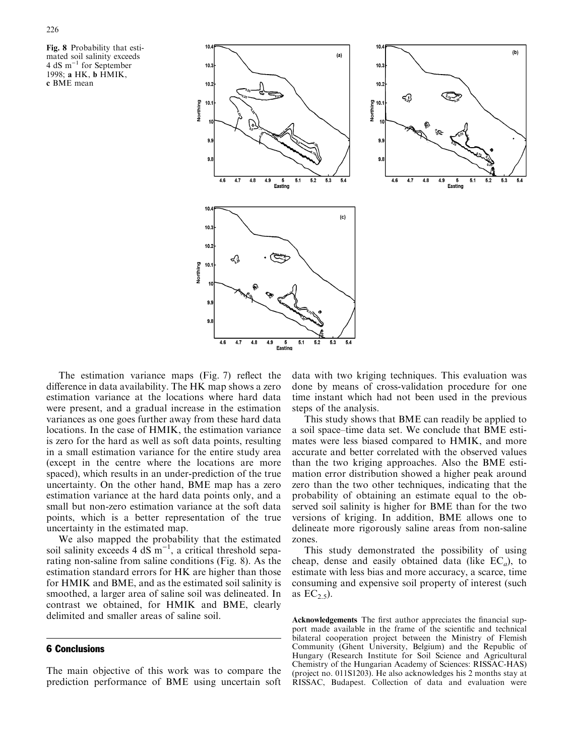Fig. 8 Probability that estimated soil salinity exceeds<br>4 dS  $\mathrm{m}^{-1}$  for September 1998; a HK, b HMIK, c BME mean



The estimation variance maps (Fig. 7) reflect the difference in data availability. The HK map shows a zero estimation variance at the locations where hard data were present, and a gradual increase in the estimation variances as one goes further away from these hard data locations. In the case of HMIK, the estimation variance is zero for the hard as well as soft data points, resulting in a small estimation variance for the entire study area (except in the centre where the locations are more spaced), which results in an under-prediction of the true uncertainty. On the other hand, BME map has a zero estimation variance at the hard data points only, and a small but non-zero estimation variance at the soft data points, which is a better representation of the true uncertainty in the estimated map.

We also mapped the probability that the estimated soil salinity exceeds  $4 \text{ dS} \text{ m}^{-1}$ , a critical threshold separating non-saline from saline conditions (Fig. 8). As the estimation standard errors for HK are higher than those for HMIK and BME, and as the estimated soil salinity is smoothed, a larger area of saline soil was delineated. In contrast we obtained, for HMIK and BME, clearly delimited and smaller areas of saline soil.

#### 6 Conclusions

The main objective of this work was to compare the prediction performance of BME using uncertain soft data with two kriging techniques. This evaluation was done by means of cross-validation procedure for one time instant which had not been used in the previous steps of the analysis.

This study shows that BME can readily be applied to a soil space–time data set. We conclude that BME estimates were less biased compared to HMIK, and more accurate and better correlated with the observed values than the two kriging approaches. Also the BME estimation error distribution showed a higher peak around zero than the two other techniques, indicating that the probability of obtaining an estimate equal to the observed soil salinity is higher for BME than for the two versions of kriging. In addition, BME allows one to delineate more rigorously saline areas from non-saline zones.

This study demonstrated the possibility of using cheap, dense and easily obtained data (like  $EC_a$ ), to estimate with less bias and more accuracy, a scarce, time consuming and expensive soil property of interest (such as  $EC_2$ .

Acknowledgements The first author appreciates the financial support made available in the frame of the scientific and technical bilateral cooperation project between the Ministry of Flemish Community (Ghent University, Belgium) and the Republic of Hungary (Research Institute for Soil Science and Agricultural Chemistry of the Hungarian Academy of Sciences: RISSAC-HAS) (project no. 011S1203). He also acknowledges his 2 months stay at RISSAC, Budapest. Collection of data and evaluation were